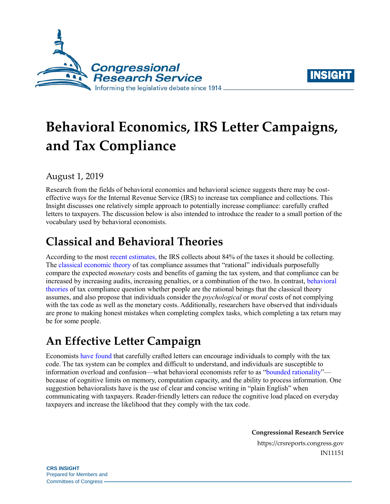



# **Behavioral Economics, IRS Letter Campaigns, and Tax Compliance**

August 1, 2019

Research from the fields of behavioral economics and behavioral science suggests there may be costeffective ways for the Internal Revenue Service (IRS) to increase tax compliance and collections. This Insight discusses one relatively simple approach to potentially increase compliance: carefully crafted letters to taxpayers. The discussion below is also intended to introduce the reader to a small portion of the vocabulary used by behavioral economists.

# **Classical and Behavioral Theories**

According to the most [recent estimates,](https://www.irs.gov/pub/newsroom/tax%20gap%20estimates%20for%202008%20through%202010.pdf) the IRS collects about 84% of the taxes it should be collecting. The [classical economic](https://www.sciencedirect.com/science/article/abs/pii/0047272772900102) theory of tax compliance assumes that "rational" individuals purposefully compare the expected *monetary* costs and benefits of gaming the tax system, and that compliance can be increased by increasing audits, increasing penalties, or a combination of the two. In contrast, [behavioral](https://onlinelibrary.wiley.com/doi/abs/10.1111/j.1467-6419.2012.00733.x)  [theories](https://onlinelibrary.wiley.com/doi/abs/10.1111/j.1467-6419.2012.00733.x) of tax compliance question whether people are the rational beings that the classical theory assumes, and also propose that individuals consider the *psychological* or *moral* costs of not complying with the tax code as well as the monetary costs. Additionally, researchers have observed that individuals are prone to making honest mistakes when completing complex tasks, which completing a tax return may be for some people.

# **An Effective Letter Campaign**

Economists [have found](http://documents.worldbank.org/curated/en/928731497243427428/pdf/116046-WP-Tax-Collection-PUBLIC.pdf) that carefully crafted letters can encourage individuals to comply with the tax code. The tax system can be complex and difficult to understand, and individuals are susceptible to information overload and confusion—what behavioral economists refer to as "bounded [rationality"](https://www.behavioraleconomics.com/resources/mini-encyclopedia-of-be/bounded-rationality/) because of cognitive limits on memory, computation capacity, and the ability to process information. One suggestion behavioralists have is the use of clear and concise writing in "plain English" when communicating with taxpayers. Reader-friendly letters can reduce the cognitive load placed on everyday taxpayers and increase the likelihood that they comply with the tax code.

**Congressional Research Service**

https://crsreports.congress.gov IN11151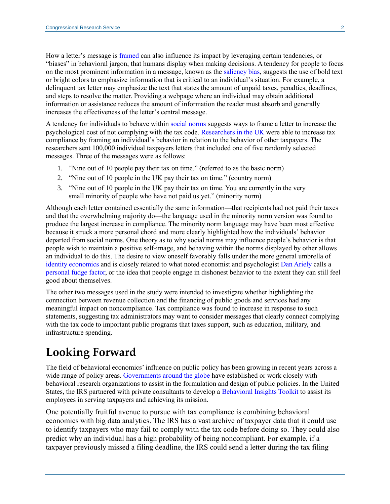How a letter's message is [framed](https://www.behavioraleconomics.com/resources/mini-encyclopedia-of-be/framing-effect/) can also influence its impact by leveraging certain tendencies, or "biases" in behavioral jargon, that humans display when making decisions. A tendency for people to focus on the most prominent information in a message, known as the [saliency bias,](https://thedecisionlab.com/biases/salience-bias/) suggests the use of bold text or bright colors to emphasize information that is critical to an individual's situation. For example, a delinquent tax letter may emphasize the text that states the amount of unpaid taxes, penalties, deadlines, and steps to resolve the matter. Providing a webpage where an individual may obtain additional information or assistance reduces the amount of information the reader must absorb and generally increases the effectiveness of the letter's central message.

A tendency for individuals to behave within [social norms](https://www.behavioraleconomics.com/resources/mini-encyclopedia-of-be/social-norm/) suggests ways to frame a letter to increase the psychological cost of not complying with the tax code. [Researchers in the UK](https://www.sciencedirect.com/science/article/abs/pii/S0047272717300166) were able to increase tax compliance by framing an individual's behavior in relation to the behavior of other taxpayers. The researchers sent 100,000 individual taxpayers letters that included one of five randomly selected messages. Three of the messages were as follows:

- 1. "Nine out of 10 people pay their tax on time." (referred to as the basic norm)
- 2. "Nine out of 10 people in the UK pay their tax on time." (country norm)
- 3. "Nine out of 10 people in the UK pay their tax on time. You are currently in the very small minority of people who have not paid us yet." (minority norm)

Although each letter contained essentially the same information—that recipients had not paid their taxes and that the overwhelming majority do—the language used in the minority norm version was found to produce the largest increase in compliance. The minority norm language may have been most effective because it struck a more personal chord and more clearly highlighted how the individuals' behavior departed from social norms. One theory as to why social norms may influence people's behavior is that people wish to maintain a positive self-image, and behaving within the norms displayed by other allows an individual to do this. The desire to view oneself favorably falls under the more general umbrella of [identity economics](https://www.behavioraleconomics.com/resources/mini-encyclopedia-of-be/identity-economics/) and is closely related to what noted economist and psychologist [Dan Ariely](http://danariely.com/) calls a [personal fudge factor,](https://www.wired.com/2009/02/ted-1/) or the idea that people engage in dishonest behavior to the extent they can still feel good about themselves.

The other two messages used in the study were intended to investigate whether highlighting the connection between revenue collection and the financing of public goods and services had any meaningful impact on noncompliance. Tax compliance was found to increase in response to such statements, suggesting tax administrators may want to consider messages that clearly connect complying with the tax code to important public programs that taxes support, such as education, military, and infrastructure spending.

## **Looking Forward**

The field of behavioral economics' influence on public policy has been growing in recent years across a wide range of policy areas. Governments [around the globe](https://ec.europa.eu/jrc/en/publication/eur-scientific-and-technical-research-reports/behavioural-insights-applied-policy-european-report-2016) have established or work closely with behavioral research organizations to assist in the formulation and design of public policies. In the United States, the IRS partnered with private consultants to develop a [Behavioral Insights Toolkit](https://www.irs.gov/pub/irs-soi/17rpirsbehavioralinsights.pdf) to assist its employees in serving taxpayers and achieving its mission.

One potentially fruitful avenue to pursue with tax compliance is combining behavioral economics with big data analytics. The IRS has a vast archive of taxpayer data that it could use to identify taxpayers who may fail to comply with the tax code before doing so. They could also predict why an individual has a high probability of being noncompliant. For example, if a taxpayer previously missed a filing deadline, the IRS could send a letter during the tax filing